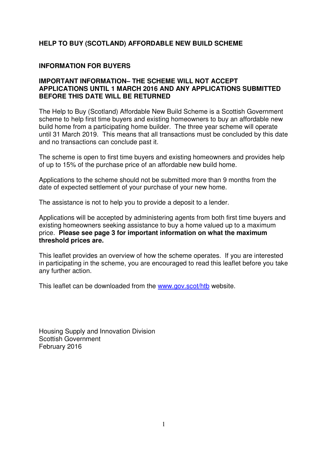# **HELP TO BUY (SCOTLAND) AFFORDABLE NEW BUILD SCHEME**

## **INFORMATION FOR BUYERS**

### **IMPORTANT INFORMATION– THE SCHEME WILL NOT ACCEPT APPLICATIONS UNTIL 1 MARCH 2016 AND ANY APPLICATIONS SUBMITTED BEFORE THIS DATE WILL BE RETURNED**

The Help to Buy (Scotland) Affordable New Build Scheme is a Scottish Government scheme to help first time buyers and existing homeowners to buy an affordable new build home from a participating home builder. The three year scheme will operate until 31 March 2019. This means that all transactions must be concluded by this date and no transactions can conclude past it.

The scheme is open to first time buyers and existing homeowners and provides help of up to 15% of the purchase price of an affordable new build home.

Applications to the scheme should not be submitted more than 9 months from the date of expected settlement of your purchase of your new home.

The assistance is not to help you to provide a deposit to a lender.

Applications will be accepted by administering agents from both first time buyers and existing homeowners seeking assistance to buy a home valued up to a maximum price. **Please see page 3 for important information on what the maximum threshold prices are.**

This leaflet provides an overview of how the scheme operates. If you are interested in participating in the scheme, you are encouraged to read this leaflet before you take any further action.

This leaflet can be downloaded from the www.gov.scot/htb website.

Housing Supply and Innovation Division Scottish Government February 2016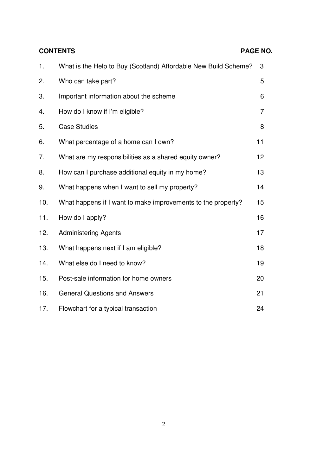| <b>CONTENTS</b> |                                                                 | PAGE NO. |
|-----------------|-----------------------------------------------------------------|----------|
| 1.              | What is the Help to Buy (Scotland) Affordable New Build Scheme? | 3        |
| 2.              | Who can take part?                                              | 5        |
| 3.              | Important information about the scheme                          | 6        |
| 4.              | How do I know if I'm eligible?                                  | 7        |
| 5.              | <b>Case Studies</b>                                             | 8        |
| 6.              | What percentage of a home can I own?                            | 11       |
| 7.              | What are my responsibilities as a shared equity owner?          | 12       |
| 8.              | How can I purchase additional equity in my home?                | 13       |
| 9.              | What happens when I want to sell my property?                   | 14       |
| 10.             | What happens if I want to make improvements to the property?    | 15       |
| 11.             | How do I apply?                                                 | 16       |
| 12.             | <b>Administering Agents</b>                                     | 17       |
| 13.             | What happens next if I am eligible?                             | 18       |
| 14.             | What else do I need to know?                                    | 19       |
| 15.             | Post-sale information for home owners                           | 20       |
| 16.             | <b>General Questions and Answers</b>                            | 21       |
| 17.             | Flowchart for a typical transaction                             | 24       |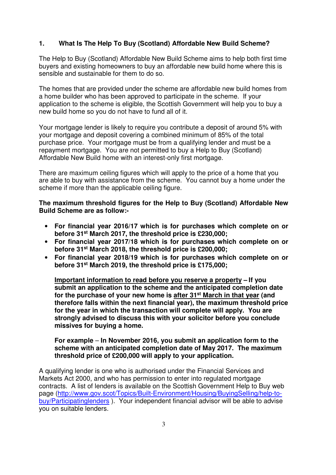# **1. What Is The Help To Buy (Scotland) Affordable New Build Scheme?**

The Help to Buy (Scotland) Affordable New Build Scheme aims to help both first time buyers and existing homeowners to buy an affordable new build home where this is sensible and sustainable for them to do so.

The homes that are provided under the scheme are affordable new build homes from a home builder who has been approved to participate in the scheme. If your application to the scheme is eligible, the Scottish Government will help you to buy a new build home so you do not have to fund all of it.

Your mortgage lender is likely to require you contribute a deposit of around 5% with your mortgage and deposit covering a combined minimum of 85% of the total purchase price. Your mortgage must be from a qualifying lender and must be a repayment mortgage. You are not permitted to buy a Help to Buy (Scotland) Affordable New Build home with an interest-only first mortgage.

There are maximum ceiling figures which will apply to the price of a home that you are able to buy with assistance from the scheme. You cannot buy a home under the scheme if more than the applicable ceiling figure.

**The maximum threshold figures for the Help to Buy (Scotland) Affordable New Build Scheme are as follow:-** 

- **For financial year 2016/17 which is for purchases which complete on or before 31st March 2017, the threshold price is £230,000;**
- **For financial year 2017/18 which is for purchases which complete on or before 31st March 2018, the threshold price is £200,000;**
- **For financial year 2018/19 which is for purchases which complete on or before 31st March 2019, the threshold price is £175,000;**

**Important information to read before you reserve a property – If you submit an application to the scheme and the anticipated completion date for the purchase of your new home is after 31st March in that year (and therefore falls within the next financial year), the maximum threshold price for the year in which the transaction will complete will apply. You are strongly advised to discuss this with your solicitor before you conclude missives for buying a home.** 

## **For example** – **In November 2016, you submit an application form to the scheme with an anticipated completion date of May 2017. The maximum threshold price of £200,000 will apply to your application.**

A qualifying lender is one who is authorised under the Financial Services and Markets Act 2000, and who has permission to enter into regulated mortgage contracts. A list of lenders is available on the Scottish Government Help to Buy web page (http://www.gov.scot/Topics/Built-Environment/Housing/BuyingSelling/help-tobuy/Participatinglenders ). Your independent financial advisor will be able to advise you on suitable lenders.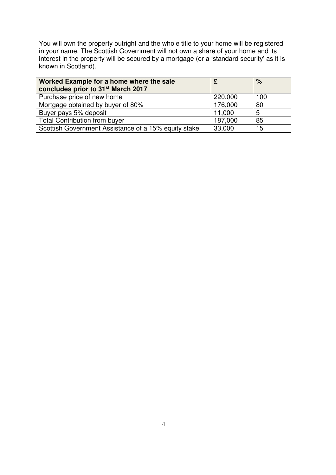You will own the property outright and the whole title to your home will be registered in your name. The Scottish Government will not own a share of your home and its interest in the property will be secured by a mortgage (or a 'standard security' as it is known in Scotland).

| Worked Example for a home where the sale<br>concludes prior to 31 <sup>st</sup> March 2017 |         | %   |
|--------------------------------------------------------------------------------------------|---------|-----|
| Purchase price of new home                                                                 | 220,000 | 100 |
| Mortgage obtained by buyer of 80%                                                          | 176,000 | 80  |
| Buyer pays 5% deposit                                                                      | 11,000  | 5   |
| <b>Total Contribution from buyer</b>                                                       | 187,000 | 85  |
| Scottish Government Assistance of a 15% equity stake                                       | 33,000  | 15  |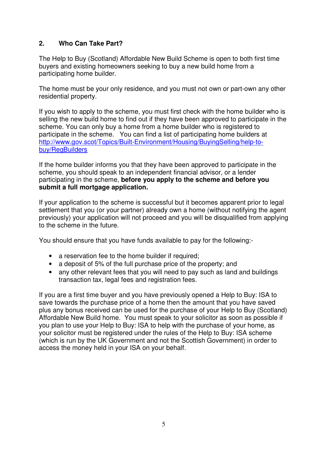# **2. Who Can Take Part?**

The Help to Buy (Scotland) Affordable New Build Scheme is open to both first time buyers and existing homeowners seeking to buy a new build home from a participating home builder.

The home must be your only residence, and you must not own or part-own any other residential property.

If you wish to apply to the scheme, you must first check with the home builder who is selling the new build home to find out if they have been approved to participate in the scheme. You can only buy a home from a home builder who is registered to participate in the scheme. You can find a list of participating home builders at http://www.gov.scot/Topics/Built-Environment/Housing/BuyingSelling/help-tobuy/RegBuilders

If the home builder informs you that they have been approved to participate in the scheme, you should speak to an independent financial advisor, or a lender participating in the scheme, **before you apply to the scheme and before you submit a full mortgage application.**

If your application to the scheme is successful but it becomes apparent prior to legal settlement that you (or your partner) already own a home (without notifying the agent previously) your application will not proceed and you will be disqualified from applying to the scheme in the future.

You should ensure that you have funds available to pay for the following:-

- a reservation fee to the home builder if required;
- a deposit of 5% of the full purchase price of the property; and
- any other relevant fees that you will need to pay such as land and buildings transaction tax, legal fees and registration fees.

If you are a first time buyer and you have previously opened a Help to Buy: ISA to save towards the purchase price of a home then the amount that you have saved plus any bonus received can be used for the purchase of your Help to Buy (Scotland) Affordable New Build home. You must speak to your solicitor as soon as possible if you plan to use your Help to Buy: ISA to help with the purchase of your home, as your solicitor must be registered under the rules of the Help to Buy: ISA scheme (which is run by the UK Government and not the Scottish Government) in order to access the money held in your ISA on your behalf.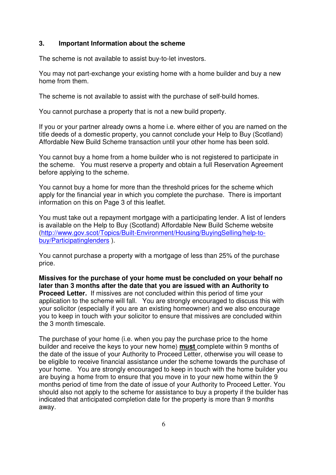### **3. Important Information about the scheme**

The scheme is not available to assist buy-to-let investors.

You may not part-exchange your existing home with a home builder and buy a new home from them.

The scheme is not available to assist with the purchase of self-build homes.

You cannot purchase a property that is not a new build property.

If you or your partner already owns a home i.e. where either of you are named on the title deeds of a domestic property, you cannot conclude your Help to Buy (Scotland) Affordable New Build Scheme transaction until your other home has been sold.

You cannot buy a home from a home builder who is not registered to participate in the scheme. You must reserve a property and obtain a full Reservation Agreement before applying to the scheme.

You cannot buy a home for more than the threshold prices for the scheme which apply for the financial year in which you complete the purchase. There is important information on this on Page 3 of this leaflet.

You must take out a repayment mortgage with a participating lender. A list of lenders is available on the Help to Buy (Scotland) Affordable New Build Scheme website (http://www.gov.scot/Topics/Built-Environment/Housing/BuyingSelling/help-tobuy/Participatinglenders ).

You cannot purchase a property with a mortgage of less than 25% of the purchase price.

**Missives for the purchase of your home must be concluded on your behalf no later than 3 months after the date that you are issued with an Authority to Proceed Letter.** If missives are not concluded within this period of time your application to the scheme will fall. You are strongly encouraged to discuss this with your solicitor (especially if you are an existing homeowner) and we also encourage you to keep in touch with your solicitor to ensure that missives are concluded within the 3 month timescale.

The purchase of your home (i.e. when you pay the purchase price to the home builder and receive the keys to your new home) **must** complete within 9 months of the date of the issue of your Authority to Proceed Letter, otherwise you will cease to be eligible to receive financial assistance under the scheme towards the purchase of your home. You are strongly encouraged to keep in touch with the home builder you are buying a home from to ensure that you move in to your new home within the 9 months period of time from the date of issue of your Authority to Proceed Letter. You should also not apply to the scheme for assistance to buy a property if the builder has indicated that anticipated completion date for the property is more than 9 months away.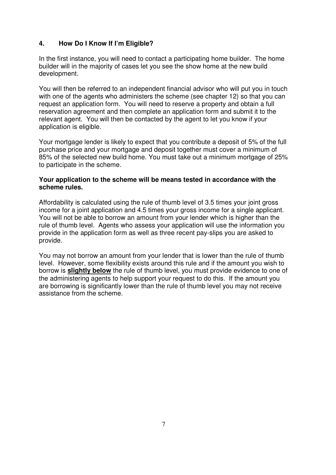# **4. How Do I Know If I'm Eligible?**

In the first instance, you will need to contact a participating home builder. The home builder will in the majority of cases let you see the show home at the new build development.

You will then be referred to an independent financial advisor who will put you in touch with one of the agents who administers the scheme (see chapter 12) so that you can request an application form. You will need to reserve a property and obtain a full reservation agreement and then complete an application form and submit it to the relevant agent. You will then be contacted by the agent to let you know if your application is eligible.

Your mortgage lender is likely to expect that you contribute a deposit of 5% of the full purchase price and your mortgage and deposit together must cover a minimum of 85% of the selected new build home. You must take out a minimum mortgage of 25% to participate in the scheme.

## **Your application to the scheme will be means tested in accordance with the scheme rules.**

Affordability is calculated using the rule of thumb level of 3.5 times your joint gross income for a joint application and 4.5 times your gross income for a single applicant. You will not be able to borrow an amount from your lender which is higher than the rule of thumb level. Agents who assess your application will use the information you provide in the application form as well as three recent pay-slips you are asked to provide.

You may not borrow an amount from your lender that is lower than the rule of thumb level. However, some flexibility exists around this rule and if the amount you wish to borrow is **slightly below** the rule of thumb level, you must provide evidence to one of the administering agents to help support your request to do this. If the amount you are borrowing is significantly lower than the rule of thumb level you may not receive assistance from the scheme.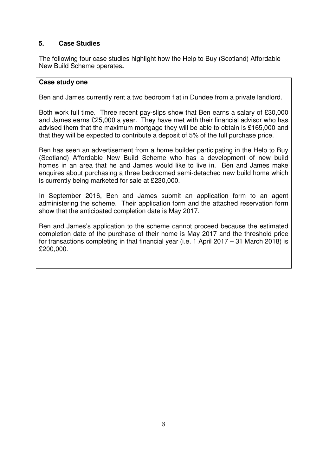# **5. Case Studies**

The following four case studies highlight how the Help to Buy (Scotland) Affordable New Build Scheme operates**.** 

## **Case study one**

Ben and James currently rent a two bedroom flat in Dundee from a private landlord.

Both work full time. Three recent pay-slips show that Ben earns a salary of £30,000 and James earns £25,000 a year. They have met with their financial advisor who has advised them that the maximum mortgage they will be able to obtain is £165,000 and that they will be expected to contribute a deposit of 5% of the full purchase price.

Ben has seen an advertisement from a home builder participating in the Help to Buy (Scotland) Affordable New Build Scheme who has a development of new build homes in an area that he and James would like to live in. Ben and James make enquires about purchasing a three bedroomed semi-detached new build home which is currently being marketed for sale at £230,000.

In September 2016, Ben and James submit an application form to an agent administering the scheme. Their application form and the attached reservation form show that the anticipated completion date is May 2017.

Ben and James's application to the scheme cannot proceed because the estimated completion date of the purchase of their home is May 2017 and the threshold price for transactions completing in that financial year (i.e. 1 April 2017 – 31 March 2018) is £200,000.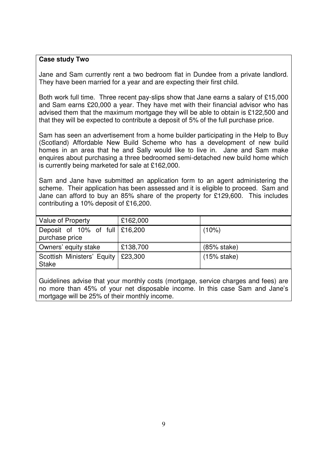### **Case study Two**

Jane and Sam currently rent a two bedroom flat in Dundee from a private landlord. They have been married for a year and are expecting their first child.

Both work full time. Three recent pay-slips show that Jane earns a salary of £15,000 and Sam earns £20,000 a year. They have met with their financial advisor who has advised them that the maximum mortgage they will be able to obtain is £122,500 and that they will be expected to contribute a deposit of 5% of the full purchase price.

Sam has seen an advertisement from a home builder participating in the Help to Buy (Scotland) Affordable New Build Scheme who has a development of new build homes in an area that he and Sally would like to live in. Jane and Sam make enquires about purchasing a three bedroomed semi-detached new build home which is currently being marketed for sale at £162,000.

Sam and Jane have submitted an application form to an agent administering the scheme. Their application has been assessed and it is eligible to proceed. Sam and Jane can afford to buy an 85% share of the property for £129,600. This includes contributing a 10% deposit of £16,200.

| Value of Property                                             | £162,000 |               |
|---------------------------------------------------------------|----------|---------------|
| Deposit of $10\%$ of full $\frac{200}{200}$<br>purchase price |          | $(10\%)$      |
| Owners' equity stake                                          | £138,700 | $(85%$ stake) |
| Scottish Ministers' Equity<br><b>Stake</b>                    | £23,300  | $(15%$ stake) |

Guidelines advise that your monthly costs (mortgage, service charges and fees) are no more than 45% of your net disposable income. In this case Sam and Jane's mortgage will be 25% of their monthly income.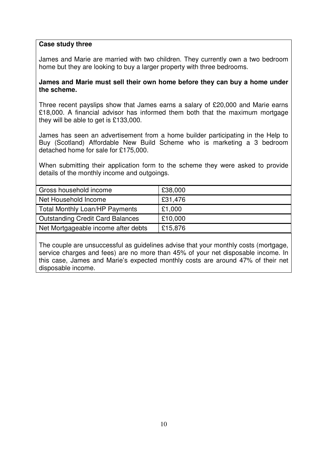## **Case study three**

James and Marie are married with two children. They currently own a two bedroom home but they are looking to buy a larger property with three bedrooms.

## **James and Marie must sell their own home before they can buy a home under the scheme.**

Three recent payslips show that James earns a salary of £20,000 and Marie earns £18,000. A financial advisor has informed them both that the maximum mortgage they will be able to get is £133,000.

James has seen an advertisement from a home builder participating in the Help to Buy (Scotland) Affordable New Build Scheme who is marketing a 3 bedroom detached home for sale for £175,000.

When submitting their application form to the scheme they were asked to provide details of the monthly income and outgoings.

| Gross household income                  | £38,000 |
|-----------------------------------------|---------|
| Net Household Income                    | £31,476 |
| <b>Total Monthly Loan/HP Payments</b>   | £1,000  |
| <b>Outstanding Credit Card Balances</b> | £10,000 |
| Net Mortgageable income after debts     | £15,876 |

The couple are unsuccessful as guidelines advise that your monthly costs (mortgage, service charges and fees) are no more than 45% of your net disposable income. In this case, James and Marie's expected monthly costs are around 47% of their net disposable income.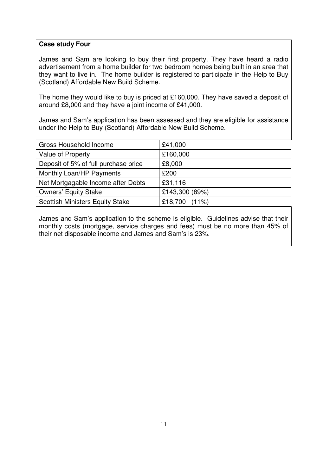## **Case study Four**

James and Sam are looking to buy their first property. They have heard a radio advertisement from a home builder for two bedroom homes being built in an area that they want to live in. The home builder is registered to participate in the Help to Buy (Scotland) Affordable New Build Scheme.

The home they would like to buy is priced at £160,000. They have saved a deposit of around £8,000 and they have a joint income of £41,000.

James and Sam's application has been assessed and they are eligible for assistance under the Help to Buy (Scotland) Affordable New Build Scheme.

| Gross Household Income                 | £41,000          |
|----------------------------------------|------------------|
| Value of Property                      | £160,000         |
| Deposit of 5% of full purchase price   | £8,000           |
| Monthly Loan/HP Payments               | £200             |
| Net Mortgagable Income after Debts     | £31,116          |
| <b>Owners' Equity Stake</b>            | £143,300 (89%)   |
| <b>Scottish Ministers Equity Stake</b> | £18,700 $(11\%)$ |

James and Sam's application to the scheme is eligible. Guidelines advise that their monthly costs (mortgage, service charges and fees) must be no more than 45% of their net disposable income and James and Sam's is 23%.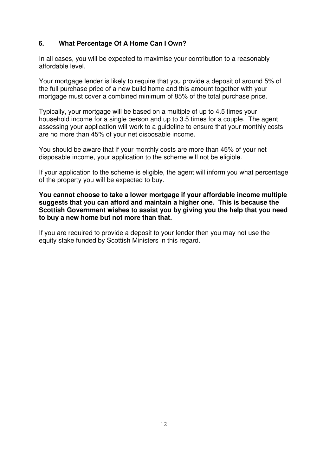# **6. What Percentage Of A Home Can I Own?**

In all cases, you will be expected to maximise your contribution to a reasonably affordable level.

Your mortgage lender is likely to require that you provide a deposit of around 5% of the full purchase price of a new build home and this amount together with your mortgage must cover a combined minimum of 85% of the total purchase price.

Typically, your mortgage will be based on a multiple of up to 4.5 times your household income for a single person and up to 3.5 times for a couple. The agent assessing your application will work to a guideline to ensure that your monthly costs are no more than 45% of your net disposable income.

You should be aware that if your monthly costs are more than 45% of your net disposable income, your application to the scheme will not be eligible.

If your application to the scheme is eligible, the agent will inform you what percentage of the property you will be expected to buy.

**You cannot choose to take a lower mortgage if your affordable income multiple suggests that you can afford and maintain a higher one. This is because the Scottish Government wishes to assist you by giving you the help that you need to buy a new home but not more than that.** 

If you are required to provide a deposit to your lender then you may not use the equity stake funded by Scottish Ministers in this regard.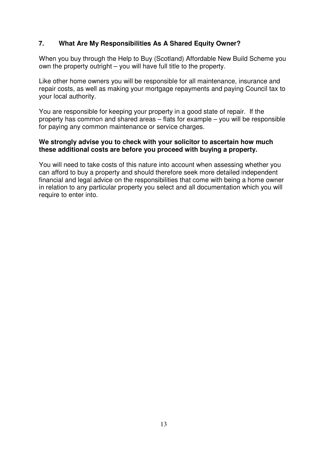# **7. What Are My Responsibilities As A Shared Equity Owner?**

When you buy through the Help to Buy (Scotland) Affordable New Build Scheme you own the property outright – you will have full title to the property.

Like other home owners you will be responsible for all maintenance, insurance and repair costs, as well as making your mortgage repayments and paying Council tax to your local authority.

You are responsible for keeping your property in a good state of repair. If the property has common and shared areas – flats for example – you will be responsible for paying any common maintenance or service charges.

## **We strongly advise you to check with your solicitor to ascertain how much these additional costs are before you proceed with buying a property.**

You will need to take costs of this nature into account when assessing whether you can afford to buy a property and should therefore seek more detailed independent financial and legal advice on the responsibilities that come with being a home owner in relation to any particular property you select and all documentation which you will require to enter into.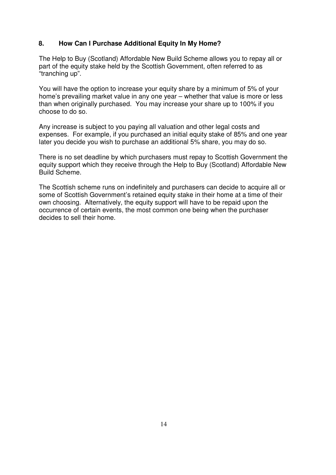# **8. How Can I Purchase Additional Equity In My Home?**

The Help to Buy (Scotland) Affordable New Build Scheme allows you to repay all or part of the equity stake held by the Scottish Government, often referred to as "tranching up".

You will have the option to increase your equity share by a minimum of 5% of your home's prevailing market value in any one year – whether that value is more or less than when originally purchased. You may increase your share up to 100% if you choose to do so.

Any increase is subject to you paying all valuation and other legal costs and expenses. For example, if you purchased an initial equity stake of 85% and one year later you decide you wish to purchase an additional 5% share, you may do so.

There is no set deadline by which purchasers must repay to Scottish Government the equity support which they receive through the Help to Buy (Scotland) Affordable New Build Scheme.

The Scottish scheme runs on indefinitely and purchasers can decide to acquire all or some of Scottish Government's retained equity stake in their home at a time of their own choosing. Alternatively, the equity support will have to be repaid upon the occurrence of certain events, the most common one being when the purchaser decides to sell their home.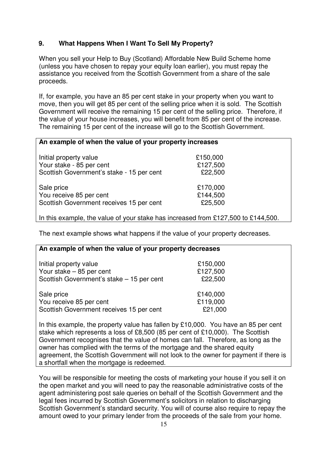# **9. What Happens When I Want To Sell My Property?**

When you sell your Help to Buy (Scotland) Affordable New Build Scheme home (unless you have chosen to repay your equity loan earlier), you must repay the assistance you received from the Scottish Government from a share of the sale proceeds.

If, for example, you have an 85 per cent stake in your property when you want to move, then you will get 85 per cent of the selling price when it is sold. The Scottish Government will receive the remaining 15 per cent of the selling price. Therefore, if the value of your house increases, you will benefit from 85 per cent of the increase. The remaining 15 per cent of the increase will go to the Scottish Government.

## **An example of when the value of your property increases**

| Initial property value                    | £150,000 |
|-------------------------------------------|----------|
| Your stake - 85 per cent                  | £127,500 |
| Scottish Government's stake - 15 per cent | £22,500  |
| Sale price                                | £170,000 |
| You receive 85 per cent                   | £144,500 |
| Scottish Government receives 15 per cent  | £25,500  |

In this example, the value of your stake has increased from £127,500 to £144,500.

The next example shows what happens if the value of your property decreases.

| An example of when the value of your property decreases |          |  |
|---------------------------------------------------------|----------|--|
| Initial property value                                  | £150,000 |  |
| Your stake $-85$ per cent                               | £127,500 |  |
| Scottish Government's stake - 15 per cent               | £22,500  |  |
| Sale price                                              | £140,000 |  |
| You receive 85 per cent                                 | £119,000 |  |
| Scottish Government receives 15 per cent                | £21,000  |  |

In this example, the property value has fallen by £10,000. You have an 85 per cent stake which represents a loss of £8,500 (85 per cent of £10,000). The Scottish Government recognises that the value of homes can fall. Therefore, as long as the owner has complied with the terms of the mortgage and the shared equity agreement, the Scottish Government will not look to the owner for payment if there is a shortfall when the mortgage is redeemed.

You will be responsible for meeting the costs of marketing your house if you sell it on the open market and you will need to pay the reasonable administrative costs of the agent administering post sale queries on behalf of the Scottish Government and the legal fees incurred by Scottish Government's solicitors in relation to discharging Scottish Government's standard security. You will of course also require to repay the amount owed to your primary lender from the proceeds of the sale from your home.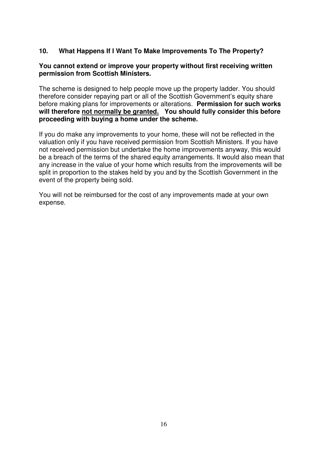# **10. What Happens If I Want To Make Improvements To The Property?**

## **You cannot extend or improve your property without first receiving written permission from Scottish Ministers.**

The scheme is designed to help people move up the property ladder. You should therefore consider repaying part or all of the Scottish Government's equity share before making plans for improvements or alterations. **Permission for such works will therefore not normally be granted. You should fully consider this before proceeding with buying a home under the scheme.** 

If you do make any improvements to your home, these will not be reflected in the valuation only if you have received permission from Scottish Ministers. If you have not received permission but undertake the home improvements anyway, this would be a breach of the terms of the shared equity arrangements. It would also mean that any increase in the value of your home which results from the improvements will be split in proportion to the stakes held by you and by the Scottish Government in the event of the property being sold.

You will not be reimbursed for the cost of any improvements made at your own expense.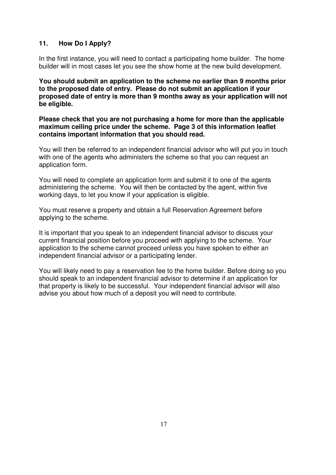# **11. How Do I Apply?**

In the first instance, you will need to contact a participating home builder. The home builder will in most cases let you see the show home at the new build development.

**You should submit an application to the scheme no earlier than 9 months prior to the proposed date of entry. Please do not submit an application if your proposed date of entry is more than 9 months away as your application will not be eligible.** 

**Please check that you are not purchasing a home for more than the applicable maximum ceiling price under the scheme. Page 3 of this information leaflet contains important information that you should read.** 

You will then be referred to an independent financial advisor who will put you in touch with one of the agents who administers the scheme so that you can request an application form.

You will need to complete an application form and submit it to one of the agents administering the scheme. You will then be contacted by the agent, within five working days, to let you know if your application is eligible.

You must reserve a property and obtain a full Reservation Agreement before applying to the scheme.

It is important that you speak to an independent financial advisor to discuss your current financial position before you proceed with applying to the scheme. Your application to the scheme cannot proceed unless you have spoken to either an independent financial advisor or a participating lender.

You will likely need to pay a reservation fee to the home builder. Before doing so you should speak to an independent financial advisor to determine if an application for that property is likely to be successful. Your independent financial advisor will also advise you about how much of a deposit you will need to contribute.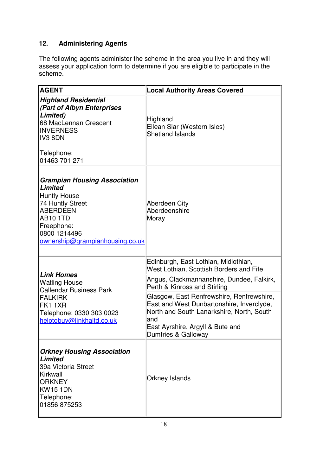# **12. Administering Agents**

The following agents administer the scheme in the area you live in and they will assess your application form to determine if you are eligible to participate in the scheme.

| <b>AGENT</b>                                                                                                                                                                  | <b>Local Authority Areas Covered</b>                                                                                                                                                                   |
|-------------------------------------------------------------------------------------------------------------------------------------------------------------------------------|--------------------------------------------------------------------------------------------------------------------------------------------------------------------------------------------------------|
| Highland Residential<br><b>Part of Albyn Enterprises</b><br>Limited)<br>68 MacLennan Crescent<br><b>INVERNESS</b><br>∥IV3 8DN<br>Telephone:<br>∥01463 701 271                 | Highland<br>Eilean Siar (Western Isles)<br><b>Shetland Islands</b>                                                                                                                                     |
| Grampian Housing Association<br>Limited<br><b>Huntly House</b><br>74 Huntly Street<br>∥ABERDEEN<br>AB10 1TD<br>Freephone:<br>∥0800 1214496<br>ownership@grampianhousing.co.uk | Aberdeen City<br>Aberdeenshire<br>Moray                                                                                                                                                                |
|                                                                                                                                                                               | Edinburgh, East Lothian, Midlothian,<br>West Lothian, Scottish Borders and Fife                                                                                                                        |
| ∥ <i>Link Homes</i><br>Watling House<br><b>Callendar Business Park</b>                                                                                                        | Angus, Clackmannanshire, Dundee, Falkirk,<br>Perth & Kinross and Stirling                                                                                                                              |
| <b>FALKIRK</b><br>∥FK1 1XR<br>Telephone: 0330 303 0023<br>helptobuy@linkhaltd.co.uk                                                                                           | Glasgow, East Renfrewshire, Renfrewshire,<br>East and West Dunbartonshire, Inverclyde,<br>North and South Lanarkshire, North, South<br>land<br>East Ayrshire, Argyll & Bute and<br>Dumfries & Galloway |
| <b>Orkney Housing Association</b><br>∥ <i>Limited</i><br>∥39a Victoria Street<br>Kirkwall<br><b>ORKNEY</b><br>∥KW15 1DN<br>Telephone:<br>01856 875253                         | <b>Orkney Islands</b>                                                                                                                                                                                  |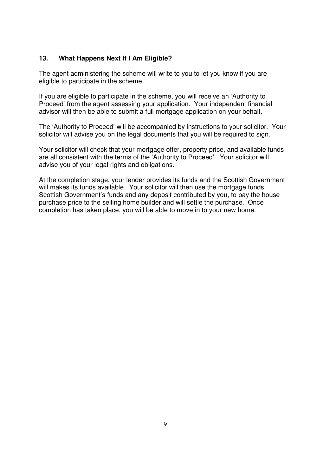## **13. What Happens Next If I Am Eligible?**

The agent administering the scheme will write to you to let you know if you are eligible to participate in the scheme.

If you are eligible to participate in the scheme, you will receive an 'Authority to Proceed' from the agent assessing your application. Your independent financial advisor will then be able to submit a full mortgage application on your behalf.

The 'Authority to Proceed' will be accompanied by instructions to your solicitor. Your solicitor will advise you on the legal documents that you will be required to sign.

Your solicitor will check that your mortgage offer, property price, and available funds are all consistent with the terms of the 'Authority to Proceed'. Your solicitor will advise you of your legal rights and obligations.

At the completion stage, your lender provides its funds and the Scottish Government will makes its funds available. Your solicitor will then use the mortgage funds, Scottish Government's funds and any deposit contributed by you, to pay the house purchase price to the selling home builder and will settle the purchase. Once completion has taken place, you will be able to move in to your new home.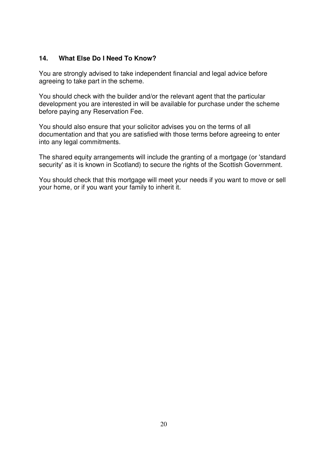# **14. What Else Do I Need To Know?**

You are strongly advised to take independent financial and legal advice before agreeing to take part in the scheme.

You should check with the builder and/or the relevant agent that the particular development you are interested in will be available for purchase under the scheme before paying any Reservation Fee.

You should also ensure that your solicitor advises you on the terms of all documentation and that you are satisfied with those terms before agreeing to enter into any legal commitments.

The shared equity arrangements will include the granting of a mortgage (or 'standard security' as it is known in Scotland) to secure the rights of the Scottish Government.

You should check that this mortgage will meet your needs if you want to move or sell your home, or if you want your family to inherit it.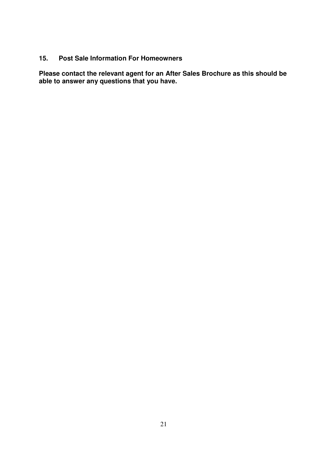# **15. Post Sale Information For Homeowners**

**Please contact the relevant agent for an After Sales Brochure as this should be able to answer any questions that you have.**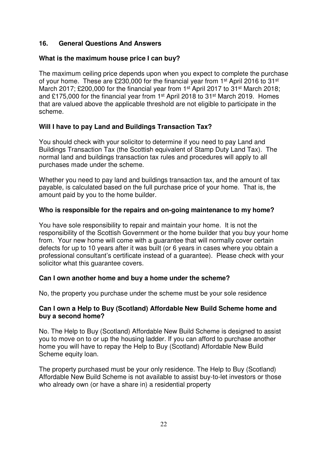## **16. General Questions And Answers**

## **What is the maximum house price I can buy?**

The maximum ceiling price depends upon when you expect to complete the purchase of your home. These are £230,000 for the financial year from 1<sup>st</sup> April 2016 to 31<sup>st</sup> March 2017; £200,000 for the financial year from 1<sup>st</sup> April 2017 to 31<sup>st</sup> March 2018; and £175,000 for the financial year from 1st April 2018 to 31st March 2019. Homes that are valued above the applicable threshold are not eligible to participate in the scheme.

# **Will I have to pay Land and Buildings Transaction Tax?**

You should check with your solicitor to determine if you need to pay Land and Buildings Transaction Tax (the Scottish equivalent of Stamp Duty Land Tax). The normal land and buildings transaction tax rules and procedures will apply to all purchases made under the scheme.

Whether you need to pay land and buildings transaction tax, and the amount of tax payable, is calculated based on the full purchase price of your home. That is, the amount paid by you to the home builder.

### **Who is responsible for the repairs and on-going maintenance to my home?**

You have sole responsibility to repair and maintain your home. It is not the responsibility of the Scottish Government or the home builder that you buy your home from. Your new home will come with a guarantee that will normally cover certain defects for up to 10 years after it was built (or 6 years in cases where you obtain a professional consultant's certificate instead of a guarantee). Please check with your solicitor what this guarantee covers.

### **Can I own another home and buy a home under the scheme?**

No, the property you purchase under the scheme must be your sole residence

## **Can I own a Help to Buy (Scotland) Affordable New Build Scheme home and buy a second home?**

No. The Help to Buy (Scotland) Affordable New Build Scheme is designed to assist you to move on to or up the housing ladder. If you can afford to purchase another home you will have to repay the Help to Buy (Scotland) Affordable New Build Scheme equity loan.

The property purchased must be your only residence. The Help to Buy (Scotland) Affordable New Build Scheme is not available to assist buy-to-let investors or those who already own (or have a share in) a residential property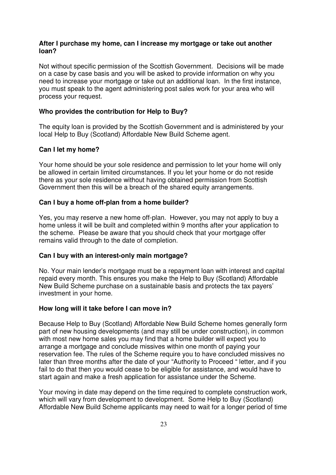### **After I purchase my home, can I increase my mortgage or take out another loan?**

Not without specific permission of the Scottish Government. Decisions will be made on a case by case basis and you will be asked to provide information on why you need to increase your mortgage or take out an additional loan. In the first instance, you must speak to the agent administering post sales work for your area who will process your request.

## **Who provides the contribution for Help to Buy?**

The equity loan is provided by the Scottish Government and is administered by your local Help to Buy (Scotland) Affordable New Build Scheme agent.

### **Can I let my home?**

Your home should be your sole residence and permission to let your home will only be allowed in certain limited circumstances. If you let your home or do not reside there as your sole residence without having obtained permission from Scottish Government then this will be a breach of the shared equity arrangements.

## **Can I buy a home off-plan from a home builder?**

Yes, you may reserve a new home off-plan. However, you may not apply to buy a home unless it will be built and completed within 9 months after your application to the scheme. Please be aware that you should check that your mortgage offer remains valid through to the date of completion.

### **Can I buy with an interest-only main mortgage?**

No. Your main lender's mortgage must be a repayment loan with interest and capital repaid every month. This ensures you make the Help to Buy (Scotland) Affordable New Build Scheme purchase on a sustainable basis and protects the tax payers' investment in your home.

### **How long will it take before I can move in?**

Because Help to Buy (Scotland) Affordable New Build Scheme homes generally form part of new housing developments (and may still be under construction), in common with most new home sales you may find that a home builder will expect you to arrange a mortgage and conclude missives within one month of paying your reservation fee. The rules of the Scheme require you to have concluded missives no later than three months after the date of your "Authority to Proceed " letter, and if you fail to do that then you would cease to be eligible for assistance, and would have to start again and make a fresh application for assistance under the Scheme.

Your moving in date may depend on the time required to complete construction work, which will vary from development to development. Some Help to Buy (Scotland) Affordable New Build Scheme applicants may need to wait for a longer period of time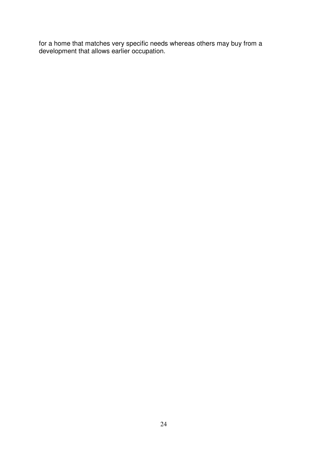for a home that matches very specific needs whereas others may buy from a development that allows earlier occupation.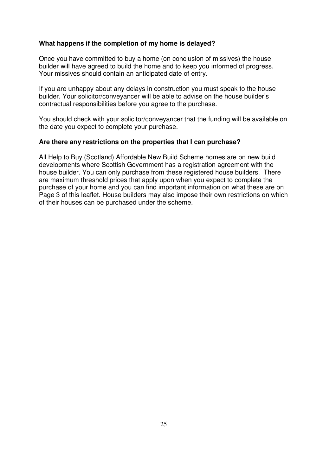## **What happens if the completion of my home is delayed?**

Once you have committed to buy a home (on conclusion of missives) the house builder will have agreed to build the home and to keep you informed of progress. Your missives should contain an anticipated date of entry.

If you are unhappy about any delays in construction you must speak to the house builder. Your solicitor/conveyancer will be able to advise on the house builder's contractual responsibilities before you agree to the purchase.

You should check with your solicitor/conveyancer that the funding will be available on the date you expect to complete your purchase.

#### **Are there any restrictions on the properties that I can purchase?**

All Help to Buy (Scotland) Affordable New Build Scheme homes are on new build developments where Scottish Government has a registration agreement with the house builder. You can only purchase from these registered house builders. There are maximum threshold prices that apply upon when you expect to complete the purchase of your home and you can find important information on what these are on Page 3 of this leaflet. House builders may also impose their own restrictions on which of their houses can be purchased under the scheme.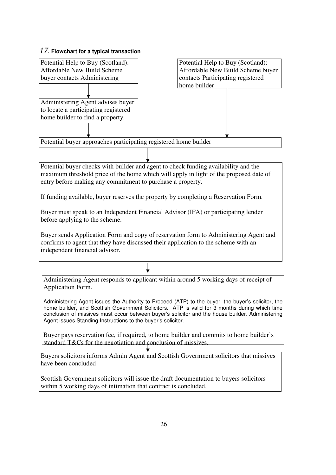## 17. **Flowchart for a typical transaction**



within 5 working days of intimation that contract is concluded.